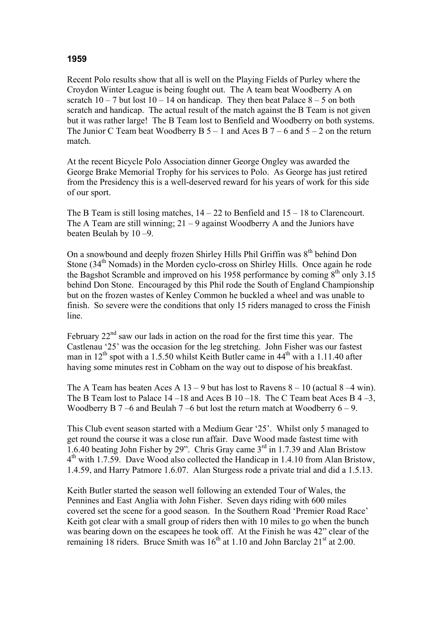## **1959**

Recent Polo results show that all is well on the Playing Fields of Purley where the Croydon Winter League is being fought out. The A team beat Woodberry A on scratch  $10 - 7$  but lost  $10 - 14$  on handicap. They then beat Palace  $8 - 5$  on both scratch and handicap. The actual result of the match against the B Team is not given but it was rather large! The B Team lost to Benfield and Woodberry on both systems. The Junior C Team beat Woodberry B  $5 - 1$  and Aces B  $7 - 6$  and  $5 - 2$  on the return match.

At the recent Bicycle Polo Association dinner George Ongley was awarded the George Brake Memorial Trophy for his services to Polo. As George has just retired from the Presidency this is a well-deserved reward for his years of work for this side of our sport.

The B Team is still losing matches,  $14 - 22$  to Benfield and  $15 - 18$  to Clarencourt. The A Team are still winning;  $21 - 9$  against Woodberry A and the Juniors have beaten Beulah by 10 –9.

On a snowbound and deeply frozen Shirley Hills Phil Griffin was  $8<sup>th</sup>$  behind Don Stone  $(34<sup>th</sup>$  Nomads) in the Morden cyclo-cross on Shirley Hills. Once again he rode the Bagshot Scramble and improved on his 1958 performance by coming  $8<sup>th</sup>$  only 3.15 behind Don Stone. Encouraged by this Phil rode the South of England Championship but on the frozen wastes of Kenley Common he buckled a wheel and was unable to finish. So severe were the conditions that only 15 riders managed to cross the Finish line.

February  $22<sup>nd</sup>$  saw our lads in action on the road for the first time this year. The Castlenau '25' was the occasion for the leg stretching. John Fisher was our fastest man in  $12<sup>th</sup>$  spot with a 1.5.50 whilst Keith Butler came in  $44<sup>th</sup>$  with a 1.11.40 after having some minutes rest in Cobham on the way out to dispose of his breakfast.

The A Team has beaten Aces A  $13 - 9$  but has lost to Ravens  $8 - 10$  (actual  $8 - 4$  win). The B Team lost to Palace  $14 - 18$  and Aces B  $10 - 18$ . The C Team beat Aces B  $4 - 3$ , Woodberry B  $7 - 6$  and Beulah  $7 - 6$  but lost the return match at Woodberry  $6 - 9$ .

This Club event season started with a Medium Gear '25'. Whilst only 5 managed to get round the course it was a close run affair. Dave Wood made fastest time with 1.6.40 beating John Fisher by 29". Chris Gray came  $3<sup>rd</sup>$  in 1.7.39 and Alan Bristow  $4<sup>th</sup>$  with 1.7.59. Dave Wood also collected the Handicap in 1.4.10 from Alan Bristow, 1.4.59, and Harry Patmore 1.6.07. Alan Sturgess rode a private trial and did a 1.5.13.

Keith Butler started the season well following an extended Tour of Wales, the Pennines and East Anglia with John Fisher. Seven days riding with 600 miles covered set the scene for a good season. In the Southern Road 'Premier Road Race' Keith got clear with a small group of riders then with 10 miles to go when the bunch was bearing down on the escapees he took off. At the Finish he was 42" clear of the remaining 18 riders. Bruce Smith was  $16<sup>th</sup>$  at 1.10 and John Barclay 21<sup>st</sup> at 2.00.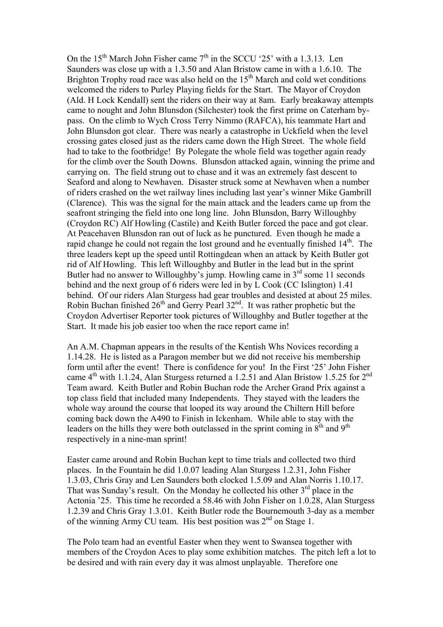On the  $15<sup>th</sup>$  March John Fisher came  $7<sup>th</sup>$  in the SCCU '25' with a 1.3.13. Len Saunders was close up with a 1.3.50 and Alan Bristow came in with a 1.6.10. The Brighton Trophy road race was also held on the  $15<sup>th</sup>$  March and cold wet conditions welcomed the riders to Purley Playing fields for the Start. The Mayor of Croydon (Ald. H Lock Kendall) sent the riders on their way at 8am. Early breakaway attempts came to nought and John Blunsdon (Silchester) took the first prime on Caterham bypass. On the climb to Wych Cross Terry Nimmo (RAFCA), his teammate Hart and John Blunsdon got clear. There was nearly a catastrophe in Uckfield when the level crossing gates closed just as the riders came down the High Street. The whole field had to take to the footbridge! By Polegate the whole field was together again ready for the climb over the South Downs. Blunsdon attacked again, winning the prime and carrying on. The field strung out to chase and it was an extremely fast descent to Seaford and along to Newhaven. Disaster struck some at Newhaven when a number of riders crashed on the wet railway lines including last year's winner Mike Gambrill (Clarence). This was the signal for the main attack and the leaders came up from the seafront stringing the field into one long line. John Blunsdon, Barry Willoughby (Croydon RC) Alf Howling (Castile) and Keith Butler forced the pace and got clear. At Peacehaven Blunsdon ran out of luck as he punctured. Even though he made a rapid change he could not regain the lost ground and he eventually finished  $14<sup>th</sup>$ . The three leaders kept up the speed until Rottingdean when an attack by Keith Butler got rid of Alf Howling. This left Willoughby and Butler in the lead but in the sprint Butler had no answer to Willoughby's jump. Howling came in  $3<sup>rd</sup>$  some 11 seconds behind and the next group of 6 riders were led in by L Cook (CC Islington) 1.41 behind. Of our riders Alan Sturgess had gear troubles and desisted at about 25 miles. Robin Buchan finished 26<sup>th</sup> and Gerry Pearl 32<sup>nd</sup>. It was rather prophetic but the Croydon Advertiser Reporter took pictures of Willoughby and Butler together at the Start. It made his job easier too when the race report came in!

An A.M. Chapman appears in the results of the Kentish Whs Novices recording a 1.14.28. He is listed as a Paragon member but we did not receive his membership form until after the event! There is confidence for you! In the First '25' John Fisher came  $4^{th}$  with 1.1.24, Alan Sturgess returned a 1.2.51 and Alan Bristow 1.5.25 for  $2^{nd}$ Team award. Keith Butler and Robin Buchan rode the Archer Grand Prix against a top class field that included many Independents. They stayed with the leaders the whole way around the course that looped its way around the Chiltern Hill before coming back down the A490 to Finish in Ickenham. While able to stay with the leaders on the hills they were both outclassed in the sprint coming in  $8<sup>th</sup>$  and  $9<sup>th</sup>$ respectively in a nine-man sprint!

Easter came around and Robin Buchan kept to time trials and collected two third places. In the Fountain he did 1.0.07 leading Alan Sturgess 1.2.31, John Fisher 1.3.03, Chris Gray and Len Saunders both clocked 1.5.09 and Alan Norris 1.10.17. That was Sunday's result. On the Monday he collected his other  $3<sup>rd</sup>$  place in the Actonia '25. This time he recorded a 58.46 with John Fisher on 1.0.28, Alan Sturgess 1.2.39 and Chris Gray 1.3.01. Keith Butler rode the Bournemouth 3-day as a member of the winning Army CU team. His best position was 2<sup>nd</sup> on Stage 1.

The Polo team had an eventful Easter when they went to Swansea together with members of the Croydon Aces to play some exhibition matches. The pitch left a lot to be desired and with rain every day it was almost unplayable. Therefore one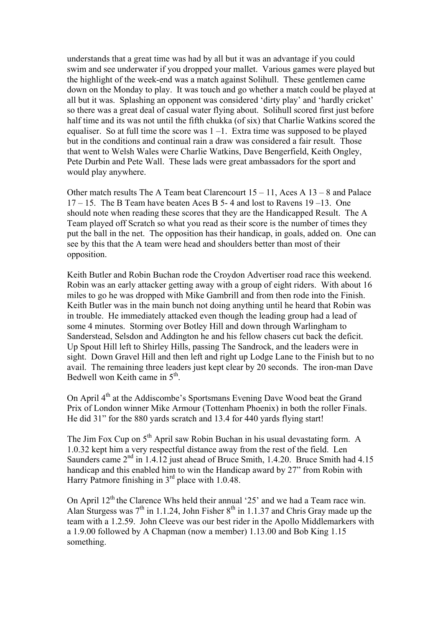understands that a great time was had by all but it was an advantage if you could swim and see underwater if you dropped your mallet. Various games were played but the highlight of the week-end was a match against Solihull. These gentlemen came down on the Monday to play. It was touch and go whether a match could be played at all but it was. Splashing an opponent was considered 'dirty play' and 'hardly cricket' so there was a great deal of casual water flying about. Solihull scored first just before half time and its was not until the fifth chukka (of six) that Charlie Watkins scored the equaliser. So at full time the score was  $1 - 1$ . Extra time was supposed to be played but in the conditions and continual rain a draw was considered a fair result. Those that went to Welsh Wales were Charlie Watkins, Dave Bengerfield, Keith Ongley, Pete Durbin and Pete Wall. These lads were great ambassadors for the sport and would play anywhere.

Other match results The A Team beat Clarencourt 15 – 11, Aces A 13 – 8 and Palace  $17 - 15$ . The B Team have beaten Aces B 5-4 and lost to Ravens  $19 - 13$ . One should note when reading these scores that they are the Handicapped Result. The A Team played off Scratch so what you read as their score is the number of times they put the ball in the net. The opposition has their handicap, in goals, added on. One can see by this that the A team were head and shoulders better than most of their opposition.

Keith Butler and Robin Buchan rode the Croydon Advertiser road race this weekend. Robin was an early attacker getting away with a group of eight riders. With about 16 miles to go he was dropped with Mike Gambrill and from then rode into the Finish. Keith Butler was in the main bunch not doing anything until he heard that Robin was in trouble. He immediately attacked even though the leading group had a lead of some 4 minutes. Storming over Botley Hill and down through Warlingham to Sanderstead, Selsdon and Addington he and his fellow chasers cut back the deficit. Up Spout Hill left to Shirley Hills, passing The Sandrock, and the leaders were in sight. Down Gravel Hill and then left and right up Lodge Lane to the Finish but to no avail. The remaining three leaders just kept clear by 20 seconds. The iron-man Dave Bedwell won Keith came in  $5<sup>th</sup>$ .

On April 4<sup>th</sup> at the Addiscombe's Sportsmans Evening Dave Wood beat the Grand Prix of London winner Mike Armour (Tottenham Phoenix) in both the roller Finals. He did 31" for the 880 yards scratch and 13.4 for 440 yards flying start!

The Jim Fox Cup on 5<sup>th</sup> April saw Robin Buchan in his usual devastating form. A 1.0.32 kept him a very respectful distance away from the rest of the field. Len Saunders came 2<sup>nd</sup> in 1.4.12 just ahead of Bruce Smith, 1.4.20. Bruce Smith had 4.15 handicap and this enabled him to win the Handicap award by 27" from Robin with Harry Patmore finishing in  $3<sup>rd</sup>$  place with 1.0.48.

On April  $12<sup>th</sup>$  the Clarence Whs held their annual '25' and we had a Team race win. Alan Sturgess was  $7<sup>th</sup>$  in 1.1.24, John Fisher  $8<sup>th</sup>$  in 1.1.37 and Chris Gray made up the team with a 1.2.59. John Cleeve was our best rider in the Apollo Middlemarkers with a 1.9.00 followed by A Chapman (now a member) 1.13.00 and Bob King 1.15 something.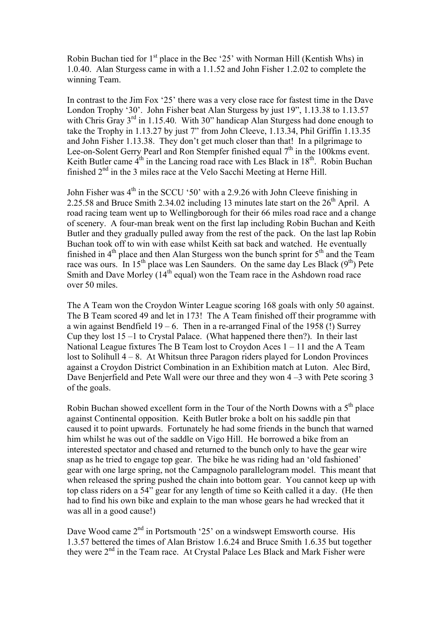Robin Buchan tied for  $1<sup>st</sup>$  place in the Bec '25' with Norman Hill (Kentish Whs) in 1.0.40. Alan Sturgess came in with a 1.1.52 and John Fisher 1.2.02 to complete the winning Team.

In contrast to the Jim Fox '25' there was a very close race for fastest time in the Dave London Trophy '30'. John Fisher beat Alan Sturgess by just 19", 1.13.38 to 1.13.57 with Chris Gray 3<sup>rd</sup> in 1.15.40. With 30" handicap Alan Sturgess had done enough to take the Trophy in 1.13.27 by just 7" from John Cleeve, 1.13.34, Phil Griffin 1.13.35 and John Fisher 1.13.38. They don't get much closer than that! In a pilgrimage to Lee-on-Solent Gerry Pearl and Ron Stempfer finished equal 7<sup>th</sup> in the 100kms event. Keith Butler came  $4<sup>th</sup>$  in the Lancing road race with Les Black in  $18<sup>th</sup>$ . Robin Buchan finished  $2<sup>nd</sup>$  in the 3 miles race at the Velo Sacchi Meeting at Herne Hill.

John Fisher was  $4<sup>th</sup>$  in the SCCU '50' with a 2.9.26 with John Cleeve finishing in 2.25.58 and Bruce Smith 2.34.02 including 13 minutes late start on the  $26<sup>th</sup>$  April. A road racing team went up to Wellingborough for their 66 miles road race and a change of scenery. A four-man break went on the first lap including Robin Buchan and Keith Butler and they gradually pulled away from the rest of the pack. On the last lap Robin Buchan took off to win with ease whilst Keith sat back and watched. He eventually finished in  $4<sup>th</sup>$  place and then Alan Sturgess won the bunch sprint for  $5<sup>th</sup>$  and the Team race was ours. In 15<sup>th</sup> place was Len Saunders. On the same day Les Black ( $9<sup>th</sup>$ ) Pete Smith and Dave Morley  $(14<sup>th</sup>$  equal) won the Team race in the Ashdown road race over 50 miles.

The A Team won the Croydon Winter League scoring 168 goals with only 50 against. The B Team scored 49 and let in 173! The A Team finished off their programme with a win against Bendfield  $19 - 6$ . Then in a re-arranged Final of the 1958 (!) Surrey Cup they lost 15 –1 to Crystal Palace. (What happened there then?). In their last National League fixtures The B Team lost to Croydon Aces 1 – 11 and the A Team lost to Solihull  $4 - 8$ . At Whitsun three Paragon riders played for London Provinces against a Croydon District Combination in an Exhibition match at Luton. Alec Bird, Dave Benjerfield and Pete Wall were our three and they won 4 –3 with Pete scoring 3 of the goals.

Robin Buchan showed excellent form in the Tour of the North Downs with a  $5<sup>th</sup>$  place against Continental opposition. Keith Butler broke a bolt on his saddle pin that caused it to point upwards. Fortunately he had some friends in the bunch that warned him whilst he was out of the saddle on Vigo Hill. He borrowed a bike from an interested spectator and chased and returned to the bunch only to have the gear wire snap as he tried to engage top gear. The bike he was riding had an 'old fashioned' gear with one large spring, not the Campagnolo parallelogram model. This meant that when released the spring pushed the chain into bottom gear. You cannot keep up with top class riders on a 54" gear for any length of time so Keith called it a day. (He then had to find his own bike and explain to the man whose gears he had wrecked that it was all in a good cause!)

Dave Wood came  $2<sup>nd</sup>$  in Portsmouth '25' on a windswept Emsworth course. His 1.3.57 bettered the times of Alan Bristow 1.6.24 and Bruce Smith 1.6.35 but together they were 2<sup>nd</sup> in the Team race. At Crystal Palace Les Black and Mark Fisher were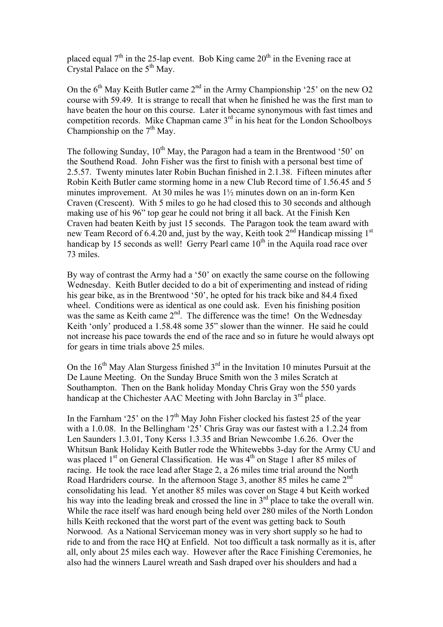placed equal  $7<sup>th</sup>$  in the 25-lap event. Bob King came  $20<sup>th</sup>$  in the Evening race at Crystal Palace on the  $5<sup>th</sup>$  May.

On the  $6<sup>th</sup>$  May Keith Butler came  $2<sup>nd</sup>$  in the Army Championship '25' on the new O2 course with 59.49. It is strange to recall that when he finished he was the first man to have beaten the hour on this course. Later it became synonymous with fast times and competition records. Mike Chapman came  $3<sup>rd</sup>$  in his heat for the London Schoolboys Championship on the  $7<sup>th</sup>$  May.

The following Sunday,  $10^{th}$  May, the Paragon had a team in the Brentwood '50' on the Southend Road. John Fisher was the first to finish with a personal best time of 2.5.57. Twenty minutes later Robin Buchan finished in 2.1.38. Fifteen minutes after Robin Keith Butler came storming home in a new Club Record time of 1.56.45 and 5 minutes improvement. At 30 miles he was 1½ minutes down on an in-form Ken Craven (Crescent). With 5 miles to go he had closed this to 30 seconds and although making use of his 96" top gear he could not bring it all back. At the Finish Ken Craven had beaten Keith by just 15 seconds. The Paragon took the team award with new Team Record of 6.4.20 and, just by the way, Keith took  $2<sup>nd</sup>$  Handicap missing  $1<sup>st</sup>$ handicap by 15 seconds as well! Gerry Pearl came  $10<sup>th</sup>$  in the Aquila road race over 73 miles.

By way of contrast the Army had a '50' on exactly the same course on the following Wednesday. Keith Butler decided to do a bit of experimenting and instead of riding his gear bike, as in the Brentwood '50', he opted for his track bike and 84.4 fixed wheel. Conditions were as identical as one could ask. Even his finishing position was the same as Keith came  $2<sup>nd</sup>$ . The difference was the time! On the Wednesday Keith 'only' produced a 1.58.48 some 35" slower than the winner. He said he could not increase his pace towards the end of the race and so in future he would always opt for gears in time trials above 25 miles.

On the  $16<sup>th</sup>$  May Alan Sturgess finished  $3<sup>rd</sup>$  in the Invitation 10 minutes Pursuit at the De Laune Meeting. On the Sunday Bruce Smith won the 3 miles Scratch at Southampton. Then on the Bank holiday Monday Chris Gray won the 550 yards handicap at the Chichester AAC Meeting with John Barclay in 3<sup>rd</sup> place.

In the Farnham '25' on the  $17<sup>th</sup>$  May John Fisher clocked his fastest 25 of the year with a 1.0.08. In the Bellingham '25' Chris Gray was our fastest with a 1.2.24 from Len Saunders 1.3.01, Tony Kerss 1.3.35 and Brian Newcombe 1.6.26. Over the Whitsun Bank Holiday Keith Butler rode the Whitewebbs 3-day for the Army CU and was placed  $1<sup>st</sup>$  on General Classification. He was  $4<sup>th</sup>$  on Stage 1 after 85 miles of racing. He took the race lead after Stage 2, a 26 miles time trial around the North Road Hardriders course. In the afternoon Stage 3, another 85 miles he came 2<sup>nd</sup> consolidating his lead. Yet another 85 miles was cover on Stage 4 but Keith worked his way into the leading break and crossed the line in  $3<sup>rd</sup>$  place to take the overall win. While the race itself was hard enough being held over 280 miles of the North London hills Keith reckoned that the worst part of the event was getting back to South Norwood. As a National Serviceman money was in very short supply so he had to ride to and from the race HQ at Enfield. Not too difficult a task normally as it is, after all, only about 25 miles each way. However after the Race Finishing Ceremonies, he also had the winners Laurel wreath and Sash draped over his shoulders and had a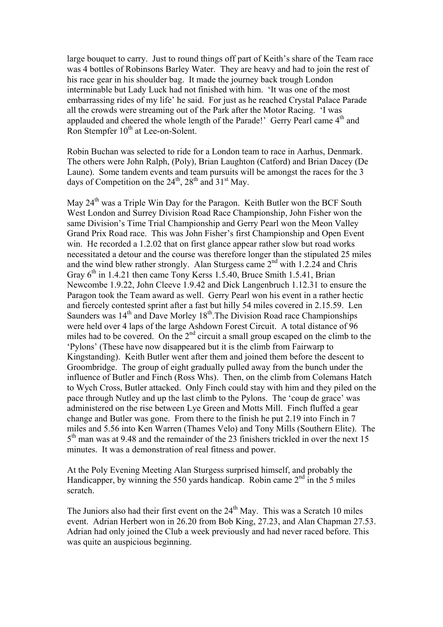large bouquet to carry. Just to round things off part of Keith's share of the Team race was 4 bottles of Robinsons Barley Water. They are heavy and had to join the rest of his race gear in his shoulder bag. It made the journey back trough London interminable but Lady Luck had not finished with him. 'It was one of the most embarrassing rides of my life' he said. For just as he reached Crystal Palace Parade all the crowds were streaming out of the Park after the Motor Racing. 'I was applauded and cheered the whole length of the Parade!' Gerry Pearl came 4<sup>th</sup> and Ron Stempfer  $10<sup>th</sup>$  at Lee-on-Solent.

Robin Buchan was selected to ride for a London team to race in Aarhus, Denmark. The others were John Ralph, (Poly), Brian Laughton (Catford) and Brian Dacey (De Laune). Some tandem events and team pursuits will be amongst the races for the 3 days of Competition on the  $24<sup>th</sup>$ ,  $28<sup>th</sup>$  and  $31<sup>st</sup>$  May.

May 24<sup>th</sup> was a Triple Win Day for the Paragon. Keith Butler won the BCF South West London and Surrey Division Road Race Championship, John Fisher won the same Division's Time Trial Championship and Gerry Pearl won the Meon Valley Grand Prix Road race. This was John Fisher's first Championship and Open Event win. He recorded a 1.2.02 that on first glance appear rather slow but road works necessitated a detour and the course was therefore longer than the stipulated 25 miles and the wind blew rather strongly. Alan Sturgess came  $2<sup>nd</sup>$  with 1.2.24 and Chris Gray  $6<sup>th</sup>$  in 1.4.21 then came Tony Kerss 1.5.40, Bruce Smith 1.5.41, Brian Newcombe 1.9.22, John Cleeve 1.9.42 and Dick Langenbruch 1.12.31 to ensure the Paragon took the Team award as well. Gerry Pearl won his event in a rather hectic and fiercely contested sprint after a fast but hilly 54 miles covered in 2.15.59. Len Saunders was  $14<sup>th</sup>$  and Dave Morley  $18<sup>th</sup>$ . The Division Road race Championships were held over 4 laps of the large Ashdown Forest Circuit. A total distance of 96 miles had to be covered. On the 2<sup>nd</sup> circuit a small group escaped on the climb to the 'Pylons' (These have now disappeared but it is the climb from Fairwarp to Kingstanding). Keith Butler went after them and joined them before the descent to Groombridge. The group of eight gradually pulled away from the bunch under the influence of Butler and Finch (Ross Whs). Then, on the climb from Colemans Hatch to Wych Cross, Butler attacked. Only Finch could stay with him and they piled on the pace through Nutley and up the last climb to the Pylons. The 'coup de grace' was administered on the rise between Lye Green and Motts Mill. Finch fluffed a gear change and Butler was gone. From there to the finish he put 2.19 into Finch in 7 miles and 5.56 into Ken Warren (Thames Velo) and Tony Mills (Southern Elite). The  $5<sup>th</sup>$  man was at 9.48 and the remainder of the 23 finishers trickled in over the next 15 minutes. It was a demonstration of real fitness and power.

At the Poly Evening Meeting Alan Sturgess surprised himself, and probably the Handicapper, by winning the 550 yards handicap. Robin came  $2<sup>nd</sup>$  in the 5 miles scratch.

The Juniors also had their first event on the  $24<sup>th</sup>$  May. This was a Scratch 10 miles event. Adrian Herbert won in 26.20 from Bob King, 27.23, and Alan Chapman 27.53. Adrian had only joined the Club a week previously and had never raced before. This was quite an auspicious beginning.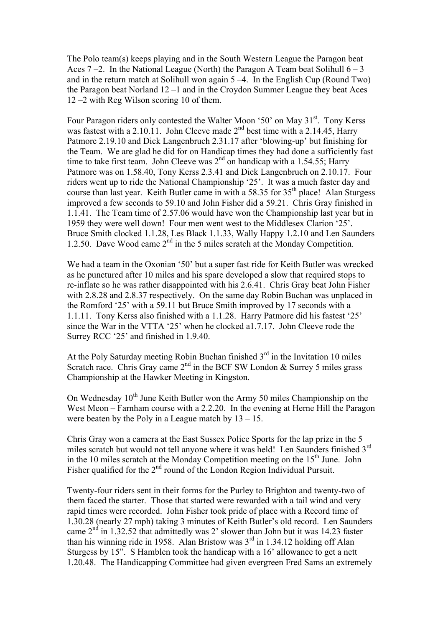The Polo team(s) keeps playing and in the South Western League the Paragon beat Aces  $7 - 2$ . In the National League (North) the Paragon A Team beat Solihull  $6 - 3$ and in the return match at Solihull won again 5 –4. In the English Cup (Round Two) the Paragon beat Norland 12 –1 and in the Croydon Summer League they beat Aces 12 –2 with Reg Wilson scoring 10 of them.

Four Paragon riders only contested the Walter Moon '50' on May 31<sup>st</sup>. Tony Kerss was fastest with a 2.10.11. John Cleeve made  $2^{nd}$  best time with a 2.14.45, Harry Patmore 2.19.10 and Dick Langenbruch 2.31.17 after 'blowing-up' but finishing for the Team. We are glad he did for on Handicap times they had done a sufficiently fast time to take first team. John Cleeve was  $2<sup>nd</sup>$  on handicap with a 1.54.55; Harry Patmore was on 1.58.40, Tony Kerss 2.3.41 and Dick Langenbruch on 2.10.17. Four riders went up to ride the National Championship '25'. It was a much faster day and course than last year. Keith Butler came in with a 58.35 for 35<sup>th</sup> place! Alan Sturgess improved a few seconds to 59.10 and John Fisher did a 59.21. Chris Gray finished in 1.1.41. The Team time of 2.57.06 would have won the Championship last year but in 1959 they were well down! Four men went west to the Middlesex Clarion '25'. Bruce Smith clocked 1.1.28, Les Black 1.1.33, Wally Happy 1.2.10 and Len Saunders 1.2.50. Dave Wood came  $2<sup>nd</sup>$  in the 5 miles scratch at the Monday Competition.

We had a team in the Oxonian '50' but a super fast ride for Keith Butler was wrecked as he punctured after 10 miles and his spare developed a slow that required stops to re-inflate so he was rather disappointed with his 2.6.41. Chris Gray beat John Fisher with 2.8.28 and 2.8.37 respectively. On the same day Robin Buchan was unplaced in the Romford '25' with a 59.11 but Bruce Smith improved by 17 seconds with a 1.1.11. Tony Kerss also finished with a 1.1.28. Harry Patmore did his fastest '25' since the War in the VTTA '25' when he clocked a1.7.17. John Cleeve rode the Surrey RCC '25' and finished in 1.9.40.

At the Poly Saturday meeting Robin Buchan finished  $3<sup>rd</sup>$  in the Invitation 10 miles Scratch race. Chris Gray came  $2<sup>nd</sup>$  in the BCF SW London & Surrey 5 miles grass Championship at the Hawker Meeting in Kingston.

On Wednesday  $10^{th}$  June Keith Butler won the Army 50 miles Championship on the West Meon – Farnham course with a 2.2.20. In the evening at Herne Hill the Paragon were beaten by the Poly in a League match by  $13 - 15$ .

Chris Gray won a camera at the East Sussex Police Sports for the lap prize in the 5 miles scratch but would not tell anyone where it was held! Len Saunders finished 3<sup>rd</sup> in the 10 miles scratch at the Monday Competition meeting on the  $15<sup>th</sup>$  June. John Fisher qualified for the  $2<sup>nd</sup>$  round of the London Region Individual Pursuit.

Twenty-four riders sent in their forms for the Purley to Brighton and twenty-two of them faced the starter. Those that started were rewarded with a tail wind and very rapid times were recorded. John Fisher took pride of place with a Record time of 1.30.28 (nearly 27 mph) taking 3 minutes of Keith Butler's old record. Len Saunders came  $2<sup>nd</sup>$  in 1.32.52 that admittedly was 2' slower than John but it was 14.23 faster than his winning ride in 1958. Alan Bristow was  $3<sup>rd</sup>$  in 1.34.12 holding off Alan Sturgess by 15". S Hamblen took the handicap with a 16' allowance to get a nett 1.20.48. The Handicapping Committee had given evergreen Fred Sams an extremely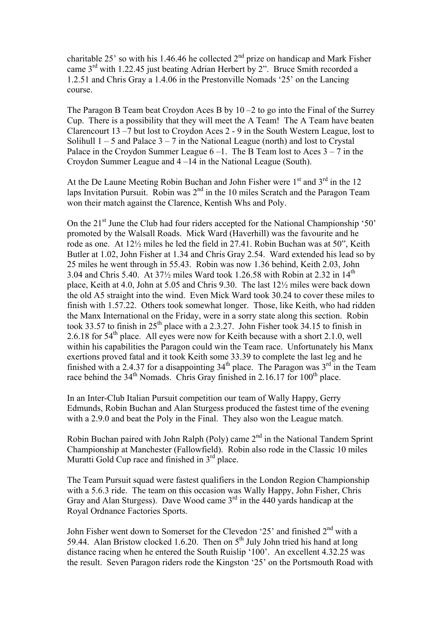charitable 25' so with his 1.46.46 he collected  $2<sup>nd</sup>$  prize on handicap and Mark Fisher came 3rd with 1.22.45 just beating Adrian Herbert by 2". Bruce Smith recorded a 1.2.51 and Chris Gray a 1.4.06 in the Prestonville Nomads '25' on the Lancing course.

The Paragon B Team beat Croydon Aces B by 10 –2 to go into the Final of the Surrey Cup. There is a possibility that they will meet the A Team! The A Team have beaten Clarencourt 13 –7 but lost to Croydon Aces 2 - 9 in the South Western League, lost to Solihull  $1 - 5$  and Palace  $3 - 7$  in the National League (north) and lost to Crystal Palace in the Croydon Summer League  $6-1$ . The B Team lost to Aces  $3-7$  in the Croydon Summer League and 4 –14 in the National League (South).

At the De Laune Meeting Robin Buchan and John Fisher were  $1<sup>st</sup>$  and  $3<sup>rd</sup>$  in the 12 laps Invitation Pursuit. Robin was  $2<sup>nd</sup>$  in the 10 miles Scratch and the Paragon Team won their match against the Clarence, Kentish Whs and Poly.

On the 21st June the Club had four riders accepted for the National Championship '50' promoted by the Walsall Roads. Mick Ward (Haverhill) was the favourite and he rode as one. At 12½ miles he led the field in 27.41. Robin Buchan was at 50", Keith Butler at 1.02, John Fisher at 1.34 and Chris Gray 2.54. Ward extended his lead so by 25 miles he went through in 55.43. Robin was now 1.36 behind, Keith 2.03, John 3.04 and Chris 5.40. At  $37\frac{1}{2}$  miles Ward took 1.26.58 with Robin at 2.32 in 14<sup>th</sup> place, Keith at 4.0, John at 5.05 and Chris 9.30. The last 12½ miles were back down the old A5 straight into the wind. Even Mick Ward took 30.24 to cover these miles to finish with 1.57.22. Others took somewhat longer. Those, like Keith, who had ridden the Manx International on the Friday, were in a sorry state along this section. Robin took 33.57 to finish in  $25<sup>th</sup>$  place with a 2.3.27. John Fisher took 34.15 to finish in 2.6.18 for  $54<sup>th</sup>$  place. All eyes were now for Keith because with a short 2.1.0, well within his capabilities the Paragon could win the Team race. Unfortunately his Manx exertions proved fatal and it took Keith some 33.39 to complete the last leg and he finished with a 2.4.37 for a disappointing  $34<sup>th</sup>$  place. The Paragon was  $3<sup>rd</sup>$  in the Team race behind the  $34<sup>th</sup>$  Nomads. Chris Gray finished in 2.16.17 for 100<sup>th</sup> place.

In an Inter-Club Italian Pursuit competition our team of Wally Happy, Gerry Edmunds, Robin Buchan and Alan Sturgess produced the fastest time of the evening with a 2.9.0 and beat the Poly in the Final. They also won the League match.

Robin Buchan paired with John Ralph (Poly) came 2<sup>nd</sup> in the National Tandem Sprint Championship at Manchester (Fallowfield). Robin also rode in the Classic 10 miles Muratti Gold Cup race and finished in  $3<sup>rd</sup>$  place.

The Team Pursuit squad were fastest qualifiers in the London Region Championship with a 5.6.3 ride. The team on this occasion was Wally Happy, John Fisher, Chris Gray and Alan Sturgess). Dave Wood came  $3<sup>rd</sup>$  in the 440 yards handicap at the Royal Ordnance Factories Sports.

John Fisher went down to Somerset for the Clevedon '25' and finished  $2<sup>nd</sup>$  with a 59.44. Alan Bristow clocked 1.6.20. Then on  $5<sup>th</sup>$  July John tried his hand at long distance racing when he entered the South Ruislip '100'. An excellent 4.32.25 was the result. Seven Paragon riders rode the Kingston '25' on the Portsmouth Road with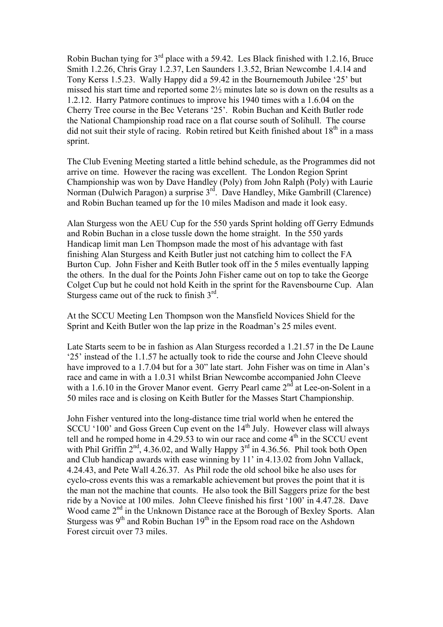Robin Buchan tying for 3rd place with a 59.42. Les Black finished with 1.2.16, Bruce Smith 1.2.26, Chris Gray 1.2.37, Len Saunders 1.3.52, Brian Newcombe 1.4.14 and Tony Kerss 1.5.23. Wally Happy did a 59.42 in the Bournemouth Jubilee '25' but missed his start time and reported some 2½ minutes late so is down on the results as a 1.2.12. Harry Patmore continues to improve his 1940 times with a 1.6.04 on the Cherry Tree course in the Bec Veterans '25'. Robin Buchan and Keith Butler rode the National Championship road race on a flat course south of Solihull. The course did not suit their style of racing. Robin retired but Keith finished about  $18<sup>th</sup>$  in a mass sprint.

The Club Evening Meeting started a little behind schedule, as the Programmes did not arrive on time. However the racing was excellent. The London Region Sprint Championship was won by Dave Handley (Poly) from John Ralph (Poly) with Laurie Norman (Dulwich Paragon) a surprise 3<sup>rd</sup>. Dave Handley, Mike Gambrill (Clarence) and Robin Buchan teamed up for the 10 miles Madison and made it look easy.

Alan Sturgess won the AEU Cup for the 550 yards Sprint holding off Gerry Edmunds and Robin Buchan in a close tussle down the home straight. In the 550 yards Handicap limit man Len Thompson made the most of his advantage with fast finishing Alan Sturgess and Keith Butler just not catching him to collect the FA Burton Cup. John Fisher and Keith Butler took off in the 5 miles eventually lapping the others. In the dual for the Points John Fisher came out on top to take the George Colget Cup but he could not hold Keith in the sprint for the Ravensbourne Cup. Alan Sturgess came out of the ruck to finish  $3<sup>rd</sup>$ .

At the SCCU Meeting Len Thompson won the Mansfield Novices Shield for the Sprint and Keith Butler won the lap prize in the Roadman's 25 miles event.

Late Starts seem to be in fashion as Alan Sturgess recorded a 1.21.57 in the De Laune '25' instead of the 1.1.57 he actually took to ride the course and John Cleeve should have improved to a 1.7.04 but for a 30" late start. John Fisher was on time in Alan's race and came in with a 1.0.31 whilst Brian Newcombe accompanied John Cleeve with a 1.6.10 in the Grover Manor event. Gerry Pearl came  $2<sup>nd</sup>$  at Lee-on-Solent in a 50 miles race and is closing on Keith Butler for the Masses Start Championship.

John Fisher ventured into the long-distance time trial world when he entered the SCCU '100' and Goss Green Cup event on the  $14<sup>th</sup>$  July. However class will always tell and he romped home in  $4.29.53$  to win our race and come  $4<sup>th</sup>$  in the SCCU event with Phil Griffin  $2^{nd}$ , 4.36.02, and Wally Happy  $3^{rd}$  in 4.36.56. Phil took both Open and Club handicap awards with ease winning by 11' in 4.13.02 from John Vallack, 4.24.43, and Pete Wall 4.26.37. As Phil rode the old school bike he also uses for cyclo-cross events this was a remarkable achievement but proves the point that it is the man not the machine that counts. He also took the Bill Saggers prize for the best ride by a Novice at 100 miles. John Cleeve finished his first '100' in 4.47.28. Dave Wood came 2<sup>nd</sup> in the Unknown Distance race at the Borough of Bexley Sports. Alan Sturgess was  $9<sup>th</sup>$  and Robin Buchan  $19<sup>th</sup>$  in the Epsom road race on the Ashdown Forest circuit over 73 miles.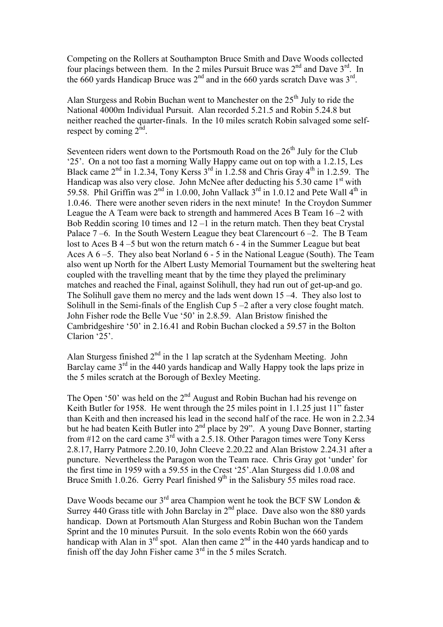Competing on the Rollers at Southampton Bruce Smith and Dave Woods collected four placings between them. In the 2 miles Pursuit Bruce was  $2<sup>nd</sup>$  and Dave  $3<sup>rd</sup>$ . In the 660 yards Handicap Bruce was  $2<sup>nd</sup>$  and in the 660 yards scratch Dave was  $3<sup>rd</sup>$ .

Alan Sturgess and Robin Buchan went to Manchester on the  $25<sup>th</sup>$  July to ride the National 4000m Individual Pursuit. Alan recorded 5.21.5 and Robin 5.24.8 but neither reached the quarter-finals. In the 10 miles scratch Robin salvaged some selfrespect by coming  $2<sup>nd</sup>$ .

Seventeen riders went down to the Portsmouth Road on the  $26<sup>th</sup>$  July for the Club '25'. On a not too fast a morning Wally Happy came out on top with a 1.2.15, Les Black came  $2<sup>nd</sup>$  in 1.2.34, Tony Kerss  $3<sup>rd</sup>$  in 1.2.58 and Chris Gray  $4<sup>th</sup>$  in 1.2.59. The Handicap was also very close. John McNee after deducting his  $5.30$  came 1<sup>st</sup> with 59.58. Phil Griffin was  $2<sup>nd</sup>$  in 1.0.00, John Vallack  $3<sup>rd</sup>$  in 1.0.12 and Pete Wall  $4<sup>th</sup>$  in 1.0.46. There were another seven riders in the next minute! In the Croydon Summer League the A Team were back to strength and hammered Aces B Team 16 –2 with Bob Reddin scoring 10 times and  $12 - 1$  in the return match. Then they beat Crystal Palace  $7-6$ . In the South Western League they beat Clarencourt  $6-2$ . The B Team lost to Aces B 4 –5 but won the return match 6 - 4 in the Summer League but beat Aces A 6 –5. They also beat Norland 6 - 5 in the National League (South). The Team also went up North for the Albert Lusty Memorial Tournament but the sweltering heat coupled with the travelling meant that by the time they played the preliminary matches and reached the Final, against Solihull, they had run out of get-up-and go. The Solihull gave them no mercy and the lads went down 15 –4. They also lost to Solihull in the Semi-finals of the English Cup 5 –2 after a very close fought match. John Fisher rode the Belle Vue '50' in 2.8.59. Alan Bristow finished the Cambridgeshire '50' in 2.16.41 and Robin Buchan clocked a 59.57 in the Bolton Clarion '25'.

Alan Sturgess finished  $2<sup>nd</sup>$  in the 1 lap scratch at the Sydenham Meeting. John Barclay came  $3<sup>rd</sup>$  in the 440 yards handicap and Wally Happy took the laps prize in the 5 miles scratch at the Borough of Bexley Meeting.

The Open '50' was held on the 2<sup>nd</sup> August and Robin Buchan had his revenge on Keith Butler for 1958. He went through the 25 miles point in 1.1.25 just 11" faster than Keith and then increased his lead in the second half of the race. He won in 2.2.34 but he had beaten Keith Butler into  $2<sup>nd</sup>$  place by 29". A young Dave Bonner, starting from #12 on the card came  $3<sup>rd</sup>$  with a 2.5.18. Other Paragon times were Tony Kerss 2.8.17, Harry Patmore 2.20.10, John Cleeve 2.20.22 and Alan Bristow 2.24.31 after a puncture. Nevertheless the Paragon won the Team race. Chris Gray got 'under' for the first time in 1959 with a 59.55 in the Crest '25'.Alan Sturgess did 1.0.08 and Bruce Smith 1.0.26. Gerry Pearl finished  $9<sup>th</sup>$  in the Salisbury 55 miles road race.

Dave Woods became our  $3^{rd}$  area Champion went he took the BCF SW London  $\&$ Surrey 440 Grass title with John Barclay in  $2<sup>nd</sup>$  place. Dave also won the 880 yards handicap. Down at Portsmouth Alan Sturgess and Robin Buchan won the Tandem Sprint and the 10 minutes Pursuit. In the solo events Robin won the 660 yards handicap with Alan in  $3<sup>rd</sup>$  spot. Alan then came  $2<sup>nd</sup>$  in the 440 yards handicap and to finish off the day John Fisher came 3<sup>rd</sup> in the 5 miles Scratch.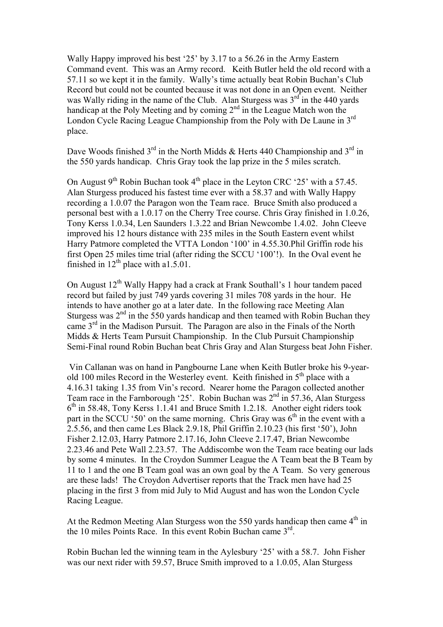Wally Happy improved his best '25' by 3.17 to a 56.26 in the Army Eastern Command event. This was an Army record. Keith Butler held the old record with a 57.11 so we kept it in the family. Wally's time actually beat Robin Buchan's Club Record but could not be counted because it was not done in an Open event. Neither was Wally riding in the name of the Club. Alan Sturgess was  $3<sup>rd</sup>$  in the 440 yards handicap at the Poly Meeting and by coming  $2<sup>nd</sup>$  in the League Match won the London Cycle Racing League Championship from the Poly with De Laune in 3rd place.

Dave Woods finished  $3<sup>rd</sup>$  in the North Midds & Herts 440 Championship and  $3<sup>rd</sup>$  in the 550 yards handicap. Chris Gray took the lap prize in the 5 miles scratch.

On August  $9<sup>th</sup>$  Robin Buchan took  $4<sup>th</sup>$  place in the Leyton CRC '25' with a 57.45. Alan Sturgess produced his fastest time ever with a 58.37 and with Wally Happy recording a 1.0.07 the Paragon won the Team race. Bruce Smith also produced a personal best with a 1.0.17 on the Cherry Tree course. Chris Gray finished in 1.0.26, Tony Kerss 1.0.34, Len Saunders 1.3.22 and Brian Newcombe 1.4.02. John Cleeve improved his 12 hours distance with 235 miles in the South Eastern event whilst Harry Patmore completed the VTTA London '100' in 4.55.30.Phil Griffin rode his first Open 25 miles time trial (after riding the SCCU '100'!). In the Oval event he finished in  $12^{th}$  place with a1.5.01.

On August 12<sup>th</sup> Wally Happy had a crack at Frank Southall's 1 hour tandem paced record but failed by just 749 yards covering 31 miles 708 yards in the hour. He intends to have another go at a later date. In the following race Meeting Alan Sturgess was  $2<sup>nd</sup>$  in the 550 yards handicap and then teamed with Robin Buchan they came 3<sup>rd</sup> in the Madison Pursuit. The Paragon are also in the Finals of the North Midds & Herts Team Pursuit Championship. In the Club Pursuit Championship Semi-Final round Robin Buchan beat Chris Gray and Alan Sturgess beat John Fisher.

 Vin Callanan was on hand in Pangbourne Lane when Keith Butler broke his 9-yearold 100 miles Record in the Westerley event. Keith finished in  $5<sup>th</sup>$  place with a 4.16.31 taking 1.35 from Vin's record. Nearer home the Paragon collected another Team race in the Farnborough '25'. Robin Buchan was  $2<sup>nd</sup>$  in 57.36, Alan Sturgess  $6<sup>th</sup>$  in 58.48, Tony Kerss 1.1.41 and Bruce Smith 1.2.18. Another eight riders took part in the SCCU '50' on the same morning. Chris Gray was  $6<sup>th</sup>$  in the event with a 2.5.56, and then came Les Black 2.9.18, Phil Griffin 2.10.23 (his first '50'), John Fisher 2.12.03, Harry Patmore 2.17.16, John Cleeve 2.17.47, Brian Newcombe 2.23.46 and Pete Wall 2.23.57. The Addiscombe won the Team race beating our lads by some 4 minutes. In the Croydon Summer League the A Team beat the B Team by 11 to 1 and the one B Team goal was an own goal by the A Team. So very generous are these lads! The Croydon Advertiser reports that the Track men have had 25 placing in the first 3 from mid July to Mid August and has won the London Cycle Racing League.

At the Redmon Meeting Alan Sturgess won the 550 yards handicap then came  $4<sup>th</sup>$  in the 10 miles Points Race. In this event Robin Buchan came 3<sup>rd</sup>.

Robin Buchan led the winning team in the Aylesbury '25' with a 58.7. John Fisher was our next rider with 59.57, Bruce Smith improved to a 1.0.05, Alan Sturgess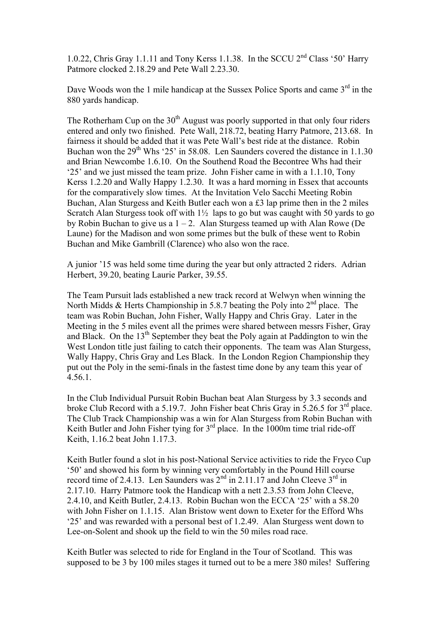1.0.22, Chris Gray 1.1.11 and Tony Kerss 1.1.38. In the SCCU 2<sup>nd</sup> Class '50' Harry Patmore clocked 2.18.29 and Pete Wall 2.23.30.

Dave Woods won the 1 mile handicap at the Sussex Police Sports and came 3<sup>rd</sup> in the 880 yards handicap.

The Rotherham Cup on the  $30<sup>th</sup>$  August was poorly supported in that only four riders entered and only two finished. Pete Wall, 218.72, beating Harry Patmore, 213.68. In fairness it should be added that it was Pete Wall's best ride at the distance. Robin Buchan won the  $29^{th}$  Whs '25' in 58.08. Len Saunders covered the distance in 1.1.30 and Brian Newcombe 1.6.10. On the Southend Road the Becontree Whs had their '25' and we just missed the team prize. John Fisher came in with a 1.1.10, Tony Kerss 1.2.20 and Wally Happy 1.2.30. It was a hard morning in Essex that accounts for the comparatively slow times. At the Invitation Velo Sacchi Meeting Robin Buchan, Alan Sturgess and Keith Butler each won a £3 lap prime then in the 2 miles Scratch Alan Sturgess took off with  $1\frac{1}{2}$  laps to go but was caught with 50 yards to go by Robin Buchan to give us a  $1 - 2$ . Alan Sturgess teamed up with Alan Rowe (De Laune) for the Madison and won some primes but the bulk of these went to Robin Buchan and Mike Gambrill (Clarence) who also won the race.

A junior '15 was held some time during the year but only attracted 2 riders. Adrian Herbert, 39.20, beating Laurie Parker, 39.55.

The Team Pursuit lads established a new track record at Welwyn when winning the North Midds & Herts Championship in 5.8.7 beating the Poly into  $2<sup>nd</sup>$  place. The team was Robin Buchan, John Fisher, Wally Happy and Chris Gray. Later in the Meeting in the 5 miles event all the primes were shared between messrs Fisher, Gray and Black. On the 13<sup>th</sup> September they beat the Poly again at Paddington to win the West London title just failing to catch their opponents. The team was Alan Sturgess, Wally Happy, Chris Gray and Les Black. In the London Region Championship they put out the Poly in the semi-finals in the fastest time done by any team this year of 4.56.1.

In the Club Individual Pursuit Robin Buchan beat Alan Sturgess by 3.3 seconds and broke Club Record with a 5.19.7. John Fisher beat Chris Gray in 5.26.5 for 3rd place. The Club Track Championship was a win for Alan Sturgess from Robin Buchan with Keith Butler and John Fisher tying for  $3<sup>rd</sup>$  place. In the 1000m time trial ride-off Keith, 1.16.2 beat John 1.17.3.

Keith Butler found a slot in his post-National Service activities to ride the Fryco Cup '50' and showed his form by winning very comfortably in the Pound Hill course record time of 2.4.13. Len Saunders was  $2<sup>nd</sup>$  in 2.11.17 and John Cleeve  $3<sup>rd</sup>$  in 2.17.10. Harry Patmore took the Handicap with a nett 2.3.53 from John Cleeve, 2.4.10, and Keith Butler, 2.4.13. Robin Buchan won the ECCA '25' with a 58.20 with John Fisher on 1.1.15. Alan Bristow went down to Exeter for the Efford Whs '25' and was rewarded with a personal best of 1.2.49. Alan Sturgess went down to Lee-on-Solent and shook up the field to win the 50 miles road race.

Keith Butler was selected to ride for England in the Tour of Scotland. This was supposed to be 3 by 100 miles stages it turned out to be a mere 380 miles! Suffering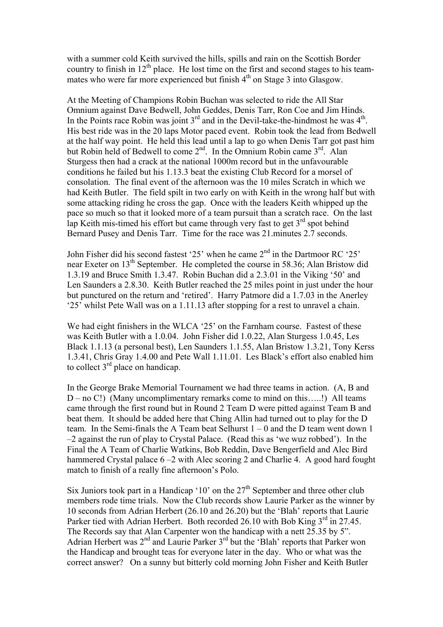with a summer cold Keith survived the hills, spills and rain on the Scottish Border country to finish in  $12<sup>th</sup>$  place. He lost time on the first and second stages to his teammates who were far more experienced but finish  $4<sup>th</sup>$  on Stage 3 into Glasgow.

At the Meeting of Champions Robin Buchan was selected to ride the All Star Omnium against Dave Bedwell, John Geddes, Denis Tarr, Ron Coe and Jim Hinds. In the Points race Robin was joint  $3<sup>rd</sup>$  and in the Devil-take-the-hindmost he was  $4<sup>th</sup>$ . His best ride was in the 20 laps Motor paced event. Robin took the lead from Bedwell at the half way point. He held this lead until a lap to go when Denis Tarr got past him but Robin held of Bedwell to come  $2^{nd}$ . In the Omnium Robin came  $3^{rd}$ . Alan Sturgess then had a crack at the national 1000m record but in the unfavourable conditions he failed but his 1.13.3 beat the existing Club Record for a morsel of consolation. The final event of the afternoon was the 10 miles Scratch in which we had Keith Butler. The field spilt in two early on with Keith in the wrong half but with some attacking riding he cross the gap. Once with the leaders Keith whipped up the pace so much so that it looked more of a team pursuit than a scratch race. On the last lap Keith mis-timed his effort but came through very fast to get  $3<sup>rd</sup>$  spot behind Bernard Pusey and Denis Tarr. Time for the race was 21.minutes 2.7 seconds.

John Fisher did his second fastest '25' when he came  $2<sup>nd</sup>$  in the Dartmoor RC '25' near Exeter on 13<sup>th</sup> September. He completed the course in 58.36; Alan Bristow did 1.3.19 and Bruce Smith 1.3.47. Robin Buchan did a 2.3.01 in the Viking '50' and Len Saunders a 2.8.30. Keith Butler reached the 25 miles point in just under the hour but punctured on the return and 'retired'. Harry Patmore did a 1.7.03 in the Anerley '25' whilst Pete Wall was on a 1.11.13 after stopping for a rest to unravel a chain.

We had eight finishers in the WLCA '25' on the Farnham course. Fastest of these was Keith Butler with a 1.0.04. John Fisher did 1.0.22, Alan Sturgess 1.0.45, Les Black 1.1.13 (a personal best), Len Saunders 1.1.55, Alan Bristow 1.3.21, Tony Kerss 1.3.41, Chris Gray 1.4.00 and Pete Wall 1.11.01. Les Black's effort also enabled him to collect  $3<sup>rd</sup>$  place on handicap.

In the George Brake Memorial Tournament we had three teams in action. (A, B and  $D$  – no C!) (Many uncomplimentary remarks come to mind on this.....!) All teams came through the first round but in Round 2 Team D were pitted against Team B and beat them. It should be added here that Ching Allin had turned out to play for the D team. In the Semi-finals the A Team beat Selhurst  $1 - 0$  and the D team went down 1 –2 against the run of play to Crystal Palace. (Read this as 'we wuz robbed'). In the Final the A Team of Charlie Watkins, Bob Reddin, Dave Bengerfield and Alec Bird hammered Crystal palace  $6 - 2$  with Alec scoring 2 and Charlie 4. A good hard fought match to finish of a really fine afternoon's Polo.

Six Juniors took part in a Handicap '10' on the  $27<sup>th</sup>$  September and three other club members rode time trials. Now the Club records show Laurie Parker as the winner by 10 seconds from Adrian Herbert (26.10 and 26.20) but the 'Blah' reports that Laurie Parker tied with Adrian Herbert. Both recorded 26.10 with Bob King  $3<sup>rd</sup>$  in 27.45. The Records say that Alan Carpenter won the handicap with a nett 25.35 by 5". Adrian Herbert was 2<sup>nd</sup> and Laurie Parker 3<sup>rd</sup> but the 'Blah' reports that Parker won the Handicap and brought teas for everyone later in the day. Who or what was the correct answer? On a sunny but bitterly cold morning John Fisher and Keith Butler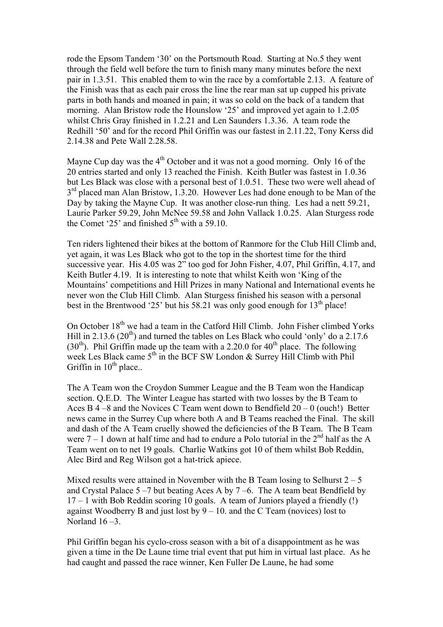rode the Epsom Tandem '30' on the Portsmouth Road. Starting at No.5 they went through the field well before the turn to finish many many minutes before the next pair in 1.3.51. This enabled them to win the race by a comfortable 2.13. A feature of the Finish was that as each pair cross the line the rear man sat up cupped his private parts in both hands and moaned in pain; it was so cold on the back of a tandem that morning. Alan Bristow rode the Hounslow '25' and improved yet again to 1.2.05 whilst Chris Gray finished in 1.2.21 and Len Saunders 1.3.36. A team rode the Redhill '50' and for the record Phil Griffin was our fastest in 2.11.22, Tony Kerss did 2.14.38 and Pete Wall 2.28.58.

Mayne Cup day was the  $4<sup>th</sup>$  October and it was not a good morning. Only 16 of the 20 entries started and only 13 reached the Finish. Keith Butler was fastest in 1.0.36 but Les Black was close with a personal best of 1.0.51. These two were well ahead of 3<sup>rd</sup> placed man Alan Bristow, 1.3.20. However Les had done enough to be Man of the Day by taking the Mayne Cup. It was another close-run thing. Les had a nett 59.21, Laurie Parker 59.29, John McNee 59.58 and John Vallack 1.0.25. Alan Sturgess rode the Comet '25' and finished  $5<sup>th</sup>$  with a 59.10.

Ten riders lightened their bikes at the bottom of Ranmore for the Club Hill Climb and, yet again, it was Les Black who got to the top in the shortest time for the third successive year. His 4.05 was 2" too god for John Fisher, 4.07, Phil Griffin, 4.17, and Keith Butler 4.19. It is interesting to note that whilst Keith won 'King of the Mountains' competitions and Hill Prizes in many National and International events he never won the Club Hill Climb. Alan Sturgess finished his season with a personal best in the Brentwood '25' but his 58.21 was only good enough for  $13<sup>th</sup>$  place!

On October 18<sup>th</sup> we had a team in the Catford Hill Climb. John Fisher climbed Yorks Hill in 2.13.6 (20<sup>th</sup>) and turned the tables on Les Black who could 'only' do a 2.17.6 (30<sup>th</sup>). Phil Griffin made up the team with a 2.20.0 for 40<sup>th</sup> place. The following week Les Black came 5<sup>th</sup> in the BCF SW London & Surrey Hill Climb with Phil Griffin in  $10^{th}$  place..

The A Team won the Croydon Summer League and the B Team won the Handicap section. Q.E.D. The Winter League has started with two losses by the B Team to Aces B  $4 - 8$  and the Novices C Team went down to Bendfield  $20 - 0$  (ouch!) Better news came in the Surrey Cup where both A and B Teams reached the Final. The skill and dash of the A Team cruelly showed the deficiencies of the B Team. The B Team were  $7 - 1$  down at half time and had to endure a Polo tutorial in the  $2<sup>nd</sup>$  half as the A Team went on to net 19 goals. Charlie Watkins got 10 of them whilst Bob Reddin, Alec Bird and Reg Wilson got a hat-trick apiece.

Mixed results were attained in November with the B Team losing to Selhurst  $2 - 5$ and Crystal Palace  $5 - 7$  but beating Aces A by  $7 - 6$ . The A team beat Bendfield by  $17 - 1$  with Bob Reddin scoring 10 goals. A team of Juniors played a friendly (!) against Woodberry B and just lost by  $9 - 10$ . and the C Team (novices) lost to Norland  $16 - 3$ .

Phil Griffin began his cyclo-cross season with a bit of a disappointment as he was given a time in the De Laune time trial event that put him in virtual last place. As he had caught and passed the race winner, Ken Fuller De Laune, he had some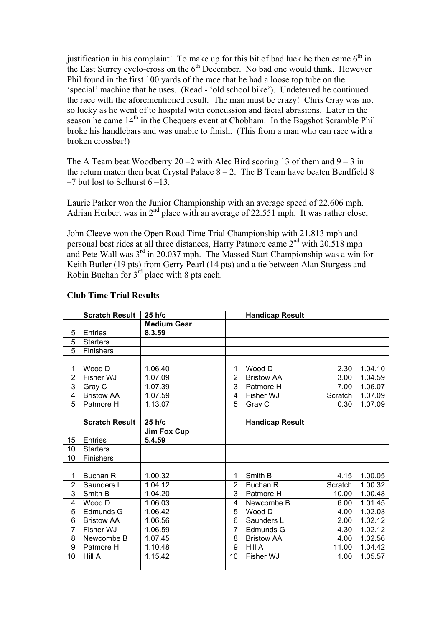justification in his complaint! To make up for this bit of bad luck he then came  $6<sup>th</sup>$  in the East Surrey cyclo-cross on the  $6<sup>th</sup>$  December. No bad one would think. However Phil found in the first 100 yards of the race that he had a loose top tube on the 'special' machine that he uses. (Read - 'old school bike'). Undeterred he continued the race with the aforementioned result. The man must be crazy! Chris Gray was not so lucky as he went of to hospital with concussion and facial abrasions. Later in the season he came 14<sup>th</sup> in the Chequers event at Chobham. In the Bagshot Scramble Phil broke his handlebars and was unable to finish. (This from a man who can race with a broken crossbar!)

The A Team beat Woodberry 20 –2 with Alec Bird scoring 13 of them and  $9 - 3$  in the return match then beat Crystal Palace  $8 - 2$ . The B Team have beaten Bendfield 8  $-7$  but lost to Selhurst  $6-13$ .

Laurie Parker won the Junior Championship with an average speed of 22.606 mph. Adrian Herbert was in  $2<sup>nd</sup>$  place with an average of 22.551 mph. It was rather close,

John Cleeve won the Open Road Time Trial Championship with 21.813 mph and personal best rides at all three distances, Harry Patmore came 2<sup>nd</sup> with 20.518 mph and Pete Wall was 3rd in 20.037 mph. The Massed Start Championship was a win for Keith Butler (19 pts) from Gerry Pearl (14 pts) and a tie between Alan Sturgess and Robin Buchan for  $3^{rd}$  place with 8 pts each.

|                | <b>Scratch Result</b> | $25$ h/c           |                | <b>Handicap Result</b> |         |         |
|----------------|-----------------------|--------------------|----------------|------------------------|---------|---------|
|                |                       | <b>Medium Gear</b> |                |                        |         |         |
| 5              | Entries               | 8.3.59             |                |                        |         |         |
| $\overline{5}$ | <b>Starters</b>       |                    |                |                        |         |         |
| $\overline{5}$ | Finishers             |                    |                |                        |         |         |
|                |                       |                    |                |                        |         |         |
| 1              | Wood D                | 1.06.40            | 1              | Wood D                 | 2.30    | 1.04.10 |
| $\overline{2}$ | Fisher WJ             | 1.07.09            | $\overline{2}$ | <b>Bristow AA</b>      | 3.00    | 1.04.59 |
| 3              | Gray C                | 1.07.39            | 3              | Patmore H              | 7.00    | 1.06.07 |
| 4              | <b>Bristow AA</b>     | 1.07.59            | 4              | Fisher WJ              | Scratch | 1.07.09 |
| 5              | Patmore H             | 1.13.07            | 5              | Gray C                 | 0.30    | 1.07.09 |
|                |                       |                    |                |                        |         |         |
|                | <b>Scratch Result</b> | 25 h/c             |                | <b>Handicap Result</b> |         |         |
|                |                       | Jim Fox Cup        |                |                        |         |         |
| 15             | <b>Entries</b>        | 5.4.59             |                |                        |         |         |
| 10             | <b>Starters</b>       |                    |                |                        |         |         |
| 10             | Finishers             |                    |                |                        |         |         |
|                |                       |                    |                |                        |         |         |
| 1              | <b>Buchan R</b>       | 1.00.32            | 1              | Smith B                | 4.15    | 1.00.05 |
| $\overline{2}$ | Saunders L            | 1.04.12            | $\overline{2}$ | Buchan R               | Scratch | 1.00.32 |
| $\overline{3}$ | Smith B               | 1.04.20            | 3              | Patmore H              | 10.00   | 1.00.48 |
| 4              | Wood D                | 1.06.03            | 4              | Newcombe B             | 6.00    | 1.01.45 |
| 5              | Edmunds G             | 1.06.42            | 5              | Wood D                 | 4.00    | 1.02.03 |
| 6              | <b>Bristow AA</b>     | 1.06.56            | 6              | Saunders L             | 2.00    | 1.02.12 |
| $\overline{7}$ | Fisher WJ             | 1.06.59            | $\overline{7}$ | Edmunds G              | 4.30    | 1.02.12 |
| 8              | Newcombe B            | 1.07.45            | 8              | <b>Bristow AA</b>      | 4.00    | 1.02.56 |
| 9              | Patmore H             | 1.10.48            | 9              | Hill A                 | 11.00   | 1.04.42 |
| 10             | Hill A                | 1.15.42            | 10             | Fisher WJ              | 1.00    | 1.05.57 |
|                |                       |                    |                |                        |         |         |

## **Club Time Trial Results**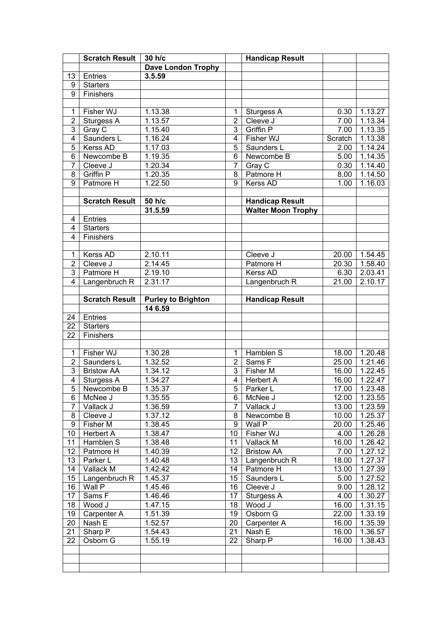|                | <b>Scratch Result</b> | 30 h/c                    |                 | <b>Handicap Result</b>    |         |                      |
|----------------|-----------------------|---------------------------|-----------------|---------------------------|---------|----------------------|
|                |                       | <b>Dave London Trophy</b> |                 |                           |         |                      |
| 13             | Entries               | 3.5.59                    |                 |                           |         |                      |
| 9              | <b>Starters</b>       |                           |                 |                           |         |                      |
| $\overline{9}$ | Finishers             |                           |                 |                           |         |                      |
|                |                       |                           |                 |                           |         |                      |
| 1              | Fisher WJ             | 1.13.38                   | 1               | Sturgess A                | 0.30    | 1.13.27              |
| $\overline{2}$ | Sturgess A            | 1.13.57                   | $\overline{2}$  | Cleeve J                  | 7.00    | 1.13.34              |
| 3              | Gray $\overline{C}$   | $\overline{1}$ .15.40     | $\overline{3}$  | Griffin P                 | 7.00    | 1.13.35              |
|                |                       |                           |                 |                           |         |                      |
| 4              | Saunders L            | 1.16.24                   | $\overline{4}$  | Fisher WJ                 | Scratch | 1.13.38              |
| $\overline{5}$ | Kerss AD              | 1.17.03                   | $\overline{5}$  | Saunders L                | 2.00    | 1.14.24              |
| $\overline{6}$ | Newcombe B            | 1.19.35                   | 6               | Newcombe B                | 5.00    | 1.14.35              |
| $\overline{7}$ | Cleeve J              | 1.20.34                   | $\overline{7}$  | Gray $\overline{C}$       | 0.30    | $\overline{1.14.40}$ |
| 8              | <b>Griffin P</b>      | 1.20.35                   | 8               | Patmore H                 | 8.00    | 1.14.50              |
| 9              | Patmore H             | 1.22.50                   | 9               | Kerss AD                  | 1.00    | 1.16.03              |
|                |                       |                           |                 |                           |         |                      |
|                | <b>Scratch Result</b> | 50 h/c                    |                 | <b>Handicap Result</b>    |         |                      |
|                |                       | 31.5.59                   |                 | <b>Walter Moon Trophy</b> |         |                      |
| 4              | Entries               |                           |                 |                           |         |                      |
| 4              | <b>Starters</b>       |                           |                 |                           |         |                      |
| 4              | Finishers             |                           |                 |                           |         |                      |
|                |                       |                           |                 |                           |         |                      |
| 1              | Kerss AD              | 2.10.11                   |                 | Cleeve J                  | 20.00   | 7.54.45              |
| $\overline{2}$ | Cleeve J              | 2.14.45                   |                 | Patmore H                 | 20.30   | 1.58.40              |
| 3              | Patmore H             | 2.19.10                   |                 | Kerss AD                  | 6.30    | 2.03.41              |
| $\overline{4}$ |                       | 2.31.17                   |                 |                           | 21.00   | 2.10.17              |
|                | Langenbruch R         |                           |                 | Langenbruch R             |         |                      |
|                |                       |                           |                 |                           |         |                      |
|                | <b>Scratch Result</b> | <b>Purley to Brighton</b> |                 | <b>Handicap Result</b>    |         |                      |
|                |                       | 14 6.59                   |                 |                           |         |                      |
| 24             | Entries               |                           |                 |                           |         |                      |
| 22             | <b>Starters</b>       |                           |                 |                           |         |                      |
| 22             | Finishers             |                           |                 |                           |         |                      |
|                |                       |                           |                 |                           |         |                      |
| 1              | Fisher WJ             | 1.30.28                   | 1               | Hamblen S                 | 18.00   | 1.20.48              |
| $\overline{2}$ | Saunders L            | 1.32.52                   | $\overline{2}$  | Sams F                    | 25.00   | 1.21.46              |
| 3              | <b>Bristow AA</b>     | 1.34.12                   | 3               | Fisher M                  | 16.00   | 1.22.45              |
| 4              | Sturgess A            | 1.34.27                   | $\overline{4}$  | <b>Herbert A</b>          | 16.00   | 1.22.47              |
| 5 <sup>1</sup> | Newcombe B            | 1.35.37                   |                 | 5 Parker L                |         | 17.00 1.23.48        |
| 6              | McNee J               | 1.35.55                   | 6               | McNee J                   | 12.00   | 1.23.55              |
| $\overline{7}$ | Vallack J             | 1.36.59                   | $\overline{7}$  | Vallack J                 | 13.00   | 1.23.59              |
| 8              | Cleeve J              | 1.37.12                   | 8               | Newcombe B                | 10.00   | 1.25.37              |
| 9              | Fisher M              | 1.38.45                   | 9               | Wall P                    | 20.00   | 1.25.46              |
| 10             | <b>Herbert A</b>      | 1.38.47                   | 10 <sup>°</sup> | Fisher WJ                 | 4.00    | 1.26.28              |
| 11             | Hamblen S             | 1.38.48                   | 11              | Vallack M                 | 16.00   | 1.26.42              |
| 12             | Patmore H             | 1.40.39                   | 12 <sub>2</sub> | <b>Bristow AA</b>         | 7.00    | 1.27.12              |
| 13             | Parker L              | 1.40.48                   | 13              | Langenbruch R             | 18.00   | 1.27.37              |
| 14             | Vallack M             | 1.42.42                   | 14              | Patmore H                 | 13.00   | 1.27.39              |
| 15             | Langenbruch R         | 1.45.37                   | 15              | Saunders L                | 5.00    | 1.27.52              |
| 16             | Wall P                | 1.45.46                   | 16              | Cleeve J                  | 9.00    | 1.28.12              |
|                |                       |                           | 17              |                           |         |                      |
| 17             | Sams F                | 1.46.46                   |                 | Sturgess A                | 4.00    | 1.30.27              |
| 18             | Wood J                | 1.47.15                   | 18              | Wood J                    | 16.00   | 1.31.15              |
| 19             | Carpenter A           | 1.51.39                   | 19              | Osborn G                  | 22.00   | 1.33.19              |
| 20             | Nash E                | 1.52.57                   | 20              | Carpenter A               | 16.00   | 1.35.39              |
| 21             | Sharp P               | 1.54.43                   | 21              | Nash E                    | 16.00   | 1.36.57              |
| 22             | Osborn G              | 1.55.19                   | 22              | Sharp P                   | 16.00   | 1.38.43              |
|                |                       |                           |                 |                           |         |                      |
|                |                       |                           |                 |                           |         |                      |
|                |                       |                           |                 |                           |         |                      |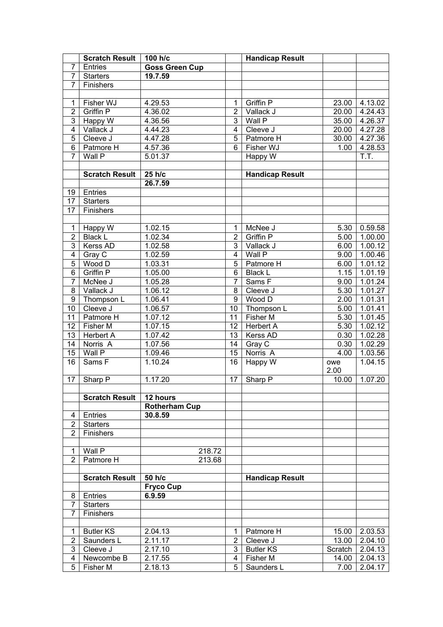|                | <b>Scratch Result</b> | 100 h/c               |                 | <b>Handicap Result</b> |         |         |
|----------------|-----------------------|-----------------------|-----------------|------------------------|---------|---------|
| $\overline{7}$ | Entries               | <b>Goss Green Cup</b> |                 |                        |         |         |
| $\overline{7}$ | <b>Starters</b>       | 19.7.59               |                 |                        |         |         |
| $\overline{7}$ | Finishers             |                       |                 |                        |         |         |
|                |                       |                       |                 |                        |         |         |
| $\mathbf 1$    | Fisher WJ             | 4.29.53               | 1               | <b>Griffin P</b>       | 23.00   | 4.13.02 |
| $\overline{2}$ | <b>Griffin P</b>      | 4.36.02               | $\overline{2}$  | Vallack J              | 20.00   | 4.24.43 |
| 3              | Happy W               | 4.36.56               | $\overline{3}$  | Wall P                 | 35.00   | 4.26.37 |
| $\overline{4}$ | Vallack J             | 4.44.23               | $\overline{4}$  | Cleeve J               | 20.00   | 4.27.28 |
| $\overline{5}$ | Cleeve J              | 4.47.28               | $\overline{5}$  | Patmore H              | 30.00   | 4.27.36 |
| $\overline{6}$ | Patmore H             | 4.57.36               | $\overline{6}$  | Fisher WJ              | 1.00    | 4.28.53 |
| $\overline{7}$ | Wall P                | 5.01.37               |                 | Happy W                |         | T.T.    |
|                |                       |                       |                 |                        |         |         |
|                | <b>Scratch Result</b> | 25 h/c                |                 | <b>Handicap Result</b> |         |         |
|                |                       | 26.7.59               |                 |                        |         |         |
| 19             | Entries               |                       |                 |                        |         |         |
| 17             | <b>Starters</b>       |                       |                 |                        |         |         |
| 17             | Finishers             |                       |                 |                        |         |         |
|                |                       |                       |                 |                        |         |         |
| $\mathbf 1$    | Happy W               | 1.02.15               | 1               | McNee J                | 5.30    | 0.59.58 |
| $\overline{2}$ | <b>Black L</b>        | 1.02.34               | $\overline{2}$  | Griffin P              | 5.00    | 1.00.00 |
| 3              | Kerss AD              | 1.02.58               | $\overline{3}$  | Vallack J              | 6.00    | 1.00.12 |
| $\overline{4}$ |                       | 1.02.59               | $\overline{4}$  | Wall P                 | 9.00    |         |
| $\overline{5}$ | Gray C                |                       | $\overline{5}$  |                        |         | 1.00.46 |
|                | Wood D                | 1.03.31               |                 | Patmore H              | 6.00    | 1.01.12 |
| $\overline{6}$ | Griffin P             | 1.05.00               | $\overline{6}$  | <b>Black L</b>         | 1.15    | 1.01.19 |
| $\overline{7}$ | McNee J               | 1.05.28               | $\overline{7}$  | Sams F                 | 9.00    | 1.01.24 |
| $\overline{8}$ | Vallack J             | 1.06.12               | 8               | Cleeve J               | 5.30    | 1.01.27 |
| 9              | Thompson L            | 1.06.41               | $\overline{9}$  | Wood D                 | 2.00    | 1.01.31 |
| 10             | Cleeve J              | 1.06.57               | $\overline{10}$ | Thompson L             | 5.00    | 1.01.41 |
| 11             | Patmore H             | 1.07.12               | $\overline{11}$ | Fisher M               | 5.30    | 1.01.45 |
| 12             | Fisher M              | 1.07.15               | 12              | <b>Herbert A</b>       | 5.30    | 1.02.12 |
| 13             | <b>Herbert A</b>      | 1.07.42               | 13              | Kerss AD               | 0.30    | 1.02.28 |
| 14             | Norris A              | 1.07.56               | 14              | Gray C                 | 0.30    | 1.02.29 |
| 15             | Wall P                | 1.09.46               | $\overline{15}$ | Norris A               | 4.00    | 1.03.56 |
| 16             | Sams F                | 1.10.24               | 16              | Happy W                | owe     | 1.04.15 |
|                |                       |                       |                 |                        | 2.00    |         |
| 17             | Sharp P               | 1.17.20               | 17              | Sharp P                | 10.00   | 1.07.20 |
|                |                       |                       |                 |                        |         |         |
|                | <b>Scratch Result</b> | 12 hours              |                 |                        |         |         |
|                |                       | <b>Rotherham Cup</b>  |                 |                        |         |         |
| 4              | Entries               | 30.8.59               |                 |                        |         |         |
| $\overline{2}$ | <b>Starters</b>       |                       |                 |                        |         |         |
| $\overline{2}$ | Finishers             |                       |                 |                        |         |         |
|                |                       |                       |                 |                        |         |         |
| 1              | Wall P                | 218.72                |                 |                        |         |         |
| $\overline{2}$ | Patmore H             | 213.68                |                 |                        |         |         |
|                |                       |                       |                 |                        |         |         |
|                | <b>Scratch Result</b> | 50 h/c                |                 | <b>Handicap Result</b> |         |         |
|                |                       | <b>Fryco Cup</b>      |                 |                        |         |         |
| 8              | Entries               | 6.9.59                |                 |                        |         |         |
| 7              | <b>Starters</b>       |                       |                 |                        |         |         |
| $\overline{7}$ | Finishers             |                       |                 |                        |         |         |
|                |                       |                       |                 |                        |         |         |
| 1              | <b>Butler KS</b>      | 2.04.13               | 1               | Patmore H              | 15.00   | 2.03.53 |
| $\overline{2}$ | Saunders L            | 2.11.17               | $\overline{2}$  | Cleeve J               | 13.00   | 2.04.10 |
| 3              | Cleeve J              | 2.17.10               | 3               | <b>Butler KS</b>       | Scratch | 2.04.13 |
| 4              | Newcombe B            | 2.17.55               | 4               | Fisher M               | 14.00   | 2.04.13 |
| $\overline{5}$ | Fisher M              | 2.18.13               | 5               | Saunders L             | 7.00    | 2.04.17 |
|                |                       |                       |                 |                        |         |         |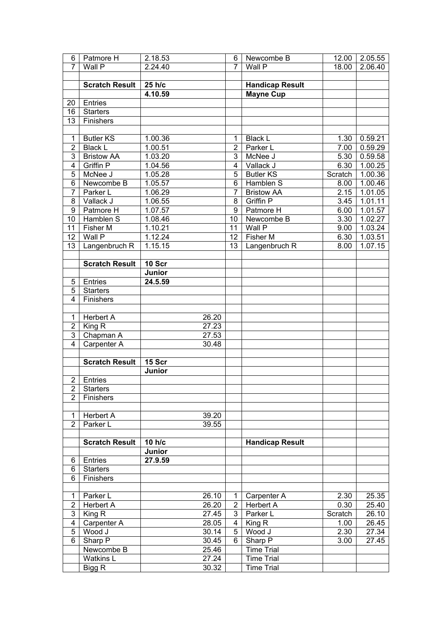| 6                       | Patmore H             | 2.18.53 |                | 6              | Newcombe B                             | 12.00   | 2.05.55 |
|-------------------------|-----------------------|---------|----------------|----------------|----------------------------------------|---------|---------|
| $\overline{7}$          | Wall P                | 2.24.40 |                | 7              | Wall P                                 | 18.00   | 2.06.40 |
|                         |                       |         |                |                |                                        |         |         |
|                         | <b>Scratch Result</b> | 25 h/c  |                |                | <b>Handicap Result</b>                 |         |         |
|                         |                       | 4.10.59 |                |                | <b>Mayne Cup</b>                       |         |         |
| 20                      | Entries               |         |                |                |                                        |         |         |
| 16                      | <b>Starters</b>       |         |                |                |                                        |         |         |
| 13                      | Finishers             |         |                |                |                                        |         |         |
|                         |                       |         |                |                |                                        |         |         |
| 1                       | Butler KS             | 1.00.36 |                | 1              | <b>Black L</b>                         | 1.30    | 0.59.21 |
| $\overline{2}$          | <b>Black L</b>        | 1.00.51 |                | $\overline{2}$ | Parker L                               | 7.00    | 0.59.29 |
| $\overline{3}$          | <b>Bristow AA</b>     | 1.03.20 |                | 3              | McNee J                                | 5.30    | 0.59.58 |
| $\overline{\mathbf{4}}$ | Griffin P             | 1.04.56 |                | $\overline{4}$ | Vallack J                              | 6.30    | 1.00.25 |
| 5                       | McNee J               | 1.05.28 |                | $\overline{5}$ | <b>Butler KS</b>                       | Scratch | 1.00.36 |
| $\overline{6}$          | Newcombe B            | 1.05.57 |                | 6              | Hamblen S                              | 8.00    | 1.00.46 |
| $\overline{7}$          | Parker L              | 1.06.29 |                | 7              | <b>Bristow AA</b>                      | 2.15    | 1.01.05 |
| 8                       | Vallack J             | 1.06.55 |                | 8              | Griffin P                              | 3.45    | 1.01.11 |
| $\boldsymbol{9}$        | Patmore H             | 1.07.57 |                | $\overline{9}$ | Patmore H                              | 6.00    | 1.01.57 |
| 10                      | Hamblen S             | 1.08.46 |                | 10             | Newcombe B                             | 3.30    | 1.02.27 |
| 11                      | Fisher M              | 1.10.21 |                | 11             | Wall P                                 | 9.00    | 1.03.24 |
| 12                      | Wall P                | 1.12.24 |                | 12             | <b>Fisher M</b>                        | 6.30    | 1.03.51 |
| 13                      | Langenbruch R         | 1.15.15 |                | 13             | Langenbruch R                          | 8.00    | 1.07.15 |
|                         |                       |         |                |                |                                        |         |         |
|                         | <b>Scratch Result</b> | 10 Scr  |                |                |                                        |         |         |
|                         |                       | Junior  |                |                |                                        |         |         |
| 5                       | Entries               | 24.5.59 |                |                |                                        |         |         |
| $\overline{5}$          | <b>Starters</b>       |         |                |                |                                        |         |         |
| $\overline{4}$          | Finishers             |         |                |                |                                        |         |         |
|                         |                       |         |                |                |                                        |         |         |
| $\mathbf{1}$            | <b>Herbert A</b>      |         | 26.20          |                |                                        |         |         |
| $\overline{2}$          | King R                |         | 27.23          |                |                                        |         |         |
| $\overline{3}$          | Chapman A             |         | 27.53          |                |                                        |         |         |
| $\overline{4}$          | Carpenter A           |         | 30.48          |                |                                        |         |         |
|                         |                       |         |                |                |                                        |         |         |
|                         | <b>Scratch Result</b> | 15 Scr  |                |                |                                        |         |         |
|                         |                       | Junior  |                |                |                                        |         |         |
| $\overline{2}$          | Entries               |         |                |                |                                        |         |         |
|                         | 2 Starters            |         |                |                |                                        |         |         |
| $\overline{2}$          | Finishers             |         |                |                |                                        |         |         |
|                         |                       |         |                |                |                                        |         |         |
| $\mathbf 1$             | <b>Herbert A</b>      |         | 39.20          |                |                                        |         |         |
| $\overline{2}$          | Parker L              |         | 39.55          |                |                                        |         |         |
|                         |                       |         |                |                |                                        |         |         |
|                         | <b>Scratch Result</b> | 10 h/c  |                |                | <b>Handicap Result</b>                 |         |         |
|                         |                       | Junior  |                |                |                                        |         |         |
| 6                       | Entries               | 27.9.59 |                |                |                                        |         |         |
| 6                       | <b>Starters</b>       |         |                |                |                                        |         |         |
| 6                       | Finishers             |         |                |                |                                        |         |         |
|                         |                       |         |                |                |                                        |         |         |
| 1                       | Parker L              |         | 26.10          | 1              | Carpenter A                            | 2.30    | 25.35   |
| $\overline{2}$          | <b>Herbert A</b>      |         | 26.20          | $\overline{2}$ | <b>Herbert A</b>                       | 0.30    | 25.40   |
| 3                       | King R                |         | 27.45          | 3              | Parker L                               | Scratch | 26.10   |
| $\overline{\mathbf{4}}$ | Carpenter A           |         | 28.05          | 4              | King R                                 | 1.00    | 26.45   |
| 5                       | Wood J                |         | 30.14          | 5              | Wood J                                 | 2.30    | 27.34   |
| 6                       |                       |         | 30.45          | 6              |                                        | 3.00    |         |
|                         | Sharp P<br>Newcombe B |         | 25.46          |                | Sharp P<br><b>Time Trial</b>           |         | 27.45   |
|                         |                       |         |                |                |                                        |         |         |
|                         |                       |         |                |                |                                        |         |         |
|                         | Watkins L<br>Bigg R   |         | 27.24<br>30.32 |                | <b>Time Trial</b><br><b>Time Trial</b> |         |         |